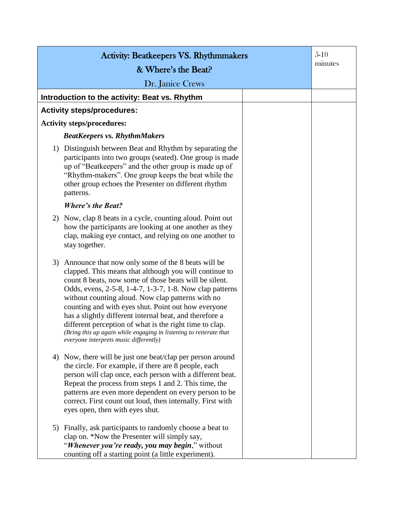| <b>Activity: Beatkeepers VS. Rhythmmakers</b> |                                                                                                                                                                                                                                                                                                                                                                                                                                                                                                                                                                                         |  | $5-10$  |
|-----------------------------------------------|-----------------------------------------------------------------------------------------------------------------------------------------------------------------------------------------------------------------------------------------------------------------------------------------------------------------------------------------------------------------------------------------------------------------------------------------------------------------------------------------------------------------------------------------------------------------------------------------|--|---------|
| & Where's the Beat?                           |                                                                                                                                                                                                                                                                                                                                                                                                                                                                                                                                                                                         |  | minutes |
|                                               | Dr. Janice Crews                                                                                                                                                                                                                                                                                                                                                                                                                                                                                                                                                                        |  |         |
|                                               | Introduction to the activity: Beat vs. Rhythm                                                                                                                                                                                                                                                                                                                                                                                                                                                                                                                                           |  |         |
|                                               | <b>Activity steps/procedures:</b>                                                                                                                                                                                                                                                                                                                                                                                                                                                                                                                                                       |  |         |
| <b>Activity steps/procedures:</b>             |                                                                                                                                                                                                                                                                                                                                                                                                                                                                                                                                                                                         |  |         |
|                                               | <b>BeatKeepers vs. RhythmMakers</b>                                                                                                                                                                                                                                                                                                                                                                                                                                                                                                                                                     |  |         |
|                                               | 1) Distinguish between Beat and Rhythm by separating the<br>participants into two groups (seated). One group is made<br>up of "Beatkeepers" and the other group is made up of<br>"Rhythm-makers". One group keeps the beat while the<br>other group echoes the Presenter on different rhythm<br>patterns.                                                                                                                                                                                                                                                                               |  |         |
|                                               | <b>Where's the Beat?</b>                                                                                                                                                                                                                                                                                                                                                                                                                                                                                                                                                                |  |         |
| 2)                                            | Now, clap 8 beats in a cycle, counting aloud. Point out<br>how the participants are looking at one another as they<br>clap, making eye contact, and relying on one another to<br>stay together.                                                                                                                                                                                                                                                                                                                                                                                         |  |         |
|                                               | 3) Announce that now only some of the 8 beats will be<br>clapped. This means that although you will continue to<br>count 8 beats, now some of those beats will be silent.<br>Odds, evens, 2-5-8, 1-4-7, 1-3-7, 1-8. Now clap patterns<br>without counting aloud. Now clap patterns with no<br>counting and with eyes shut. Point out how everyone<br>has a slightly different internal beat, and therefore a<br>different perception of what is the right time to clap.<br>(Bring this up again while engaging in listening to reiterate that<br>everyone interprets music differently) |  |         |
|                                               | 4) Now, there will be just one beat/clap per person around<br>the circle. For example, if there are 8 people, each<br>person will clap once, each person with a different beat.<br>Repeat the process from steps 1 and 2. This time, the<br>patterns are even more dependent on every person to be<br>correct. First count out loud, then internally. First with<br>eyes open, then with eyes shut.                                                                                                                                                                                     |  |         |
|                                               | 5) Finally, ask participants to randomly choose a beat to<br>clap on. *Now the Presenter will simply say,<br>"Whenever you're ready, you may begin," without<br>counting off a starting point (a little experiment).                                                                                                                                                                                                                                                                                                                                                                    |  |         |